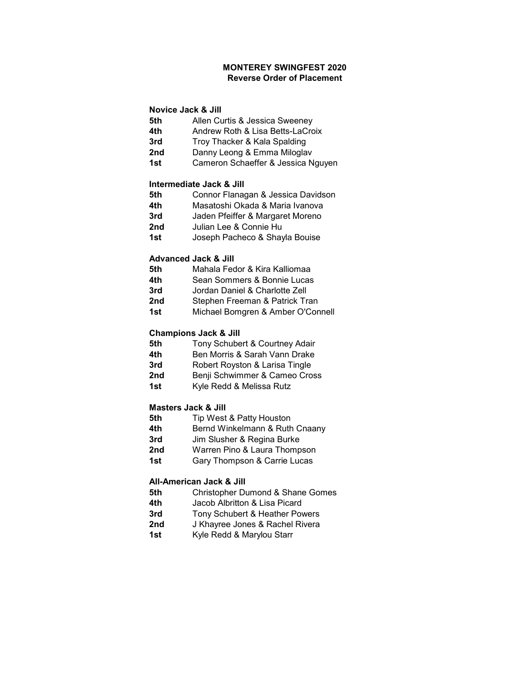# MONTEREY SWINGFEST 2020 Reverse Order of Placement

# Novice Jack & Jill

- **5th** Allen Curtis & Jessica Sweeney
- 4th Andrew Roth & Lisa Betts-LaCroix
- 3rd Troy Thacker & Kala Spalding
- 2nd Danny Leong & Emma Miloglav
- 1st Cameron Schaeffer & Jessica Nguyen

#### Intermediate Jack & Jill

- **5th Connor Flanagan & Jessica Davidson**
- 4th Masatoshi Okada & Maria Ivanova
- 3rd Jaden Pfeiffer & Margaret Moreno
- 2nd Julian Lee & Connie Hu
- 1st Joseph Pacheco & Shayla Bouise

#### Advanced Jack & Jill

- 5th Mahala Fedor & Kira Kalliomaa
- 4th Sean Sommers & Bonnie Lucas
- 3rd Jordan Daniel & Charlotte Zell
- 2nd Stephen Freeman & Patrick Tran
- 1st Michael Bomgren & Amber O'Connell

#### Champions Jack & Jill

- **5th Tony Schubert & Courtney Adair**
- 4th Ben Morris & Sarah Vann Drake
- **3rd Robert Royston & Larisa Tingle**
- 2nd Benji Schwimmer & Cameo Cross
- 1st Kyle Redd & Melissa Rutz

## Masters Jack & Jill

- **5th** Tip West & Patty Houston
- 4th Bernd Winkelmann & Ruth Cnaany
- 3rd Jim Slusher & Regina Burke
- 2nd Warren Pino & Laura Thompson
- 1st Gary Thompson & Carrie Lucas

### All-American Jack & Jill

- **5th Christopher Dumond & Shane Gomes**
- 4th Jacob Albritton & Lisa Picard
- 3rd Tony Schubert & Heather Powers
- 2nd J Khayree Jones & Rachel Rivera
- 1st Kyle Redd & Marylou Starr